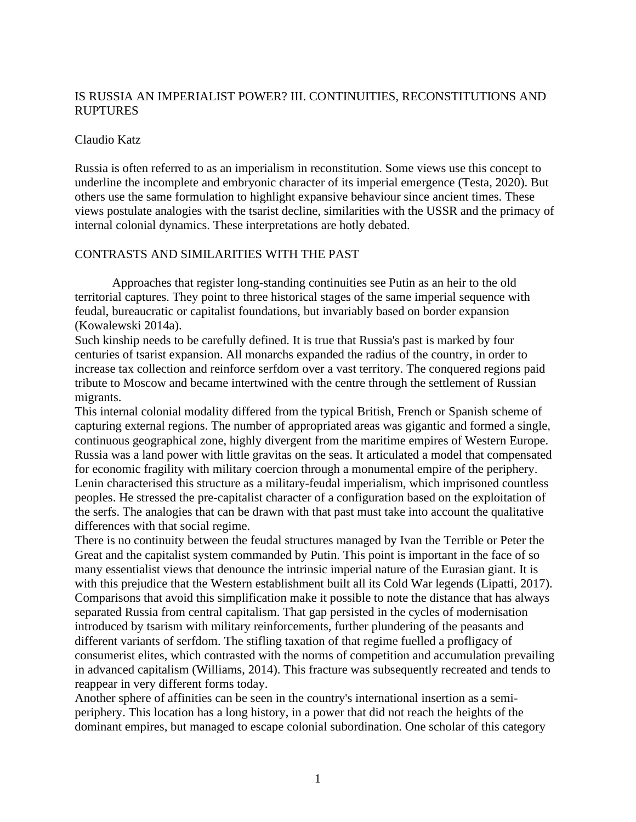# IS RUSSIA AN IMPERIALIST POWER? III. CONTINUITIES, RECONSTITUTIONS AND RUPTURES

## Claudio Katz

Russia is often referred to as an imperialism in reconstitution. Some views use this concept to underline the incomplete and embryonic character of its imperial emergence (Testa, 2020). But others use the same formulation to highlight expansive behaviour since ancient times. These views postulate analogies with the tsarist decline, similarities with the USSR and the primacy of internal colonial dynamics. These interpretations are hotly debated.

## CONTRASTS AND SIMILARITIES WITH THE PAST

Approaches that register long-standing continuities see Putin as an heir to the old territorial captures. They point to three historical stages of the same imperial sequence with feudal, bureaucratic or capitalist foundations, but invariably based on border expansion (Kowalewski 2014a).

Such kinship needs to be carefully defined. It is true that Russia's past is marked by four centuries of tsarist expansion. All monarchs expanded the radius of the country, in order to increase tax collection and reinforce serfdom over a vast territory. The conquered regions paid tribute to Moscow and became intertwined with the centre through the settlement of Russian migrants.

This internal colonial modality differed from the typical British, French or Spanish scheme of capturing external regions. The number of appropriated areas was gigantic and formed a single, continuous geographical zone, highly divergent from the maritime empires of Western Europe. Russia was a land power with little gravitas on the seas. It articulated a model that compensated for economic fragility with military coercion through a monumental empire of the periphery. Lenin characterised this structure as a military-feudal imperialism, which imprisoned countless peoples. He stressed the pre-capitalist character of a configuration based on the exploitation of the serfs. The analogies that can be drawn with that past must take into account the qualitative differences with that social regime.

There is no continuity between the feudal structures managed by Ivan the Terrible or Peter the Great and the capitalist system commanded by Putin. This point is important in the face of so many essentialist views that denounce the intrinsic imperial nature of the Eurasian giant. It is with this prejudice that the Western establishment built all its Cold War legends (Lipatti, 2017). Comparisons that avoid this simplification make it possible to note the distance that has always separated Russia from central capitalism. That gap persisted in the cycles of modernisation introduced by tsarism with military reinforcements, further plundering of the peasants and different variants of serfdom. The stifling taxation of that regime fuelled a profligacy of consumerist elites, which contrasted with the norms of competition and accumulation prevailing in advanced capitalism (Williams, 2014). This fracture was subsequently recreated and tends to reappear in very different forms today.

Another sphere of affinities can be seen in the country's international insertion as a semiperiphery. This location has a long history, in a power that did not reach the heights of the dominant empires, but managed to escape colonial subordination. One scholar of this category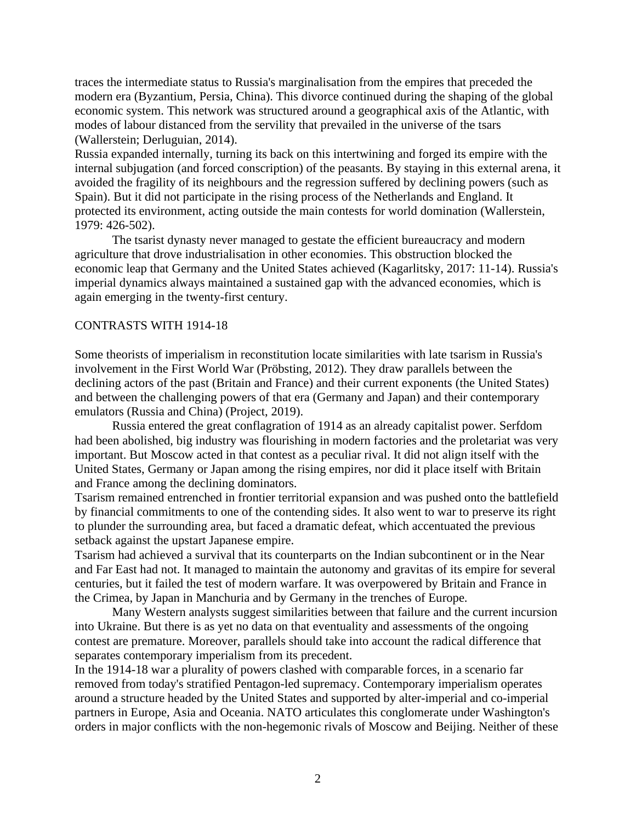traces the intermediate status to Russia's marginalisation from the empires that preceded the modern era (Byzantium, Persia, China). This divorce continued during the shaping of the global economic system. This network was structured around a geographical axis of the Atlantic, with modes of labour distanced from the servility that prevailed in the universe of the tsars (Wallerstein; Derluguian, 2014).

Russia expanded internally, turning its back on this intertwining and forged its empire with the internal subjugation (and forced conscription) of the peasants. By staying in this external arena, it avoided the fragility of its neighbours and the regression suffered by declining powers (such as Spain). But it did not participate in the rising process of the Netherlands and England. It protected its environment, acting outside the main contests for world domination (Wallerstein, 1979: 426-502).

The tsarist dynasty never managed to gestate the efficient bureaucracy and modern agriculture that drove industrialisation in other economies. This obstruction blocked the economic leap that Germany and the United States achieved (Kagarlitsky, 2017: 11-14). Russia's imperial dynamics always maintained a sustained gap with the advanced economies, which is again emerging in the twenty-first century.

#### CONTRASTS WITH 1914-18

Some theorists of imperialism in reconstitution locate similarities with late tsarism in Russia's involvement in the First World War (Pröbsting, 2012). They draw parallels between the declining actors of the past (Britain and France) and their current exponents (the United States) and between the challenging powers of that era (Germany and Japan) and their contemporary emulators (Russia and China) (Project, 2019).

Russia entered the great conflagration of 1914 as an already capitalist power. Serfdom had been abolished, big industry was flourishing in modern factories and the proletariat was very important. But Moscow acted in that contest as a peculiar rival. It did not align itself with the United States, Germany or Japan among the rising empires, nor did it place itself with Britain and France among the declining dominators.

Tsarism remained entrenched in frontier territorial expansion and was pushed onto the battlefield by financial commitments to one of the contending sides. It also went to war to preserve its right to plunder the surrounding area, but faced a dramatic defeat, which accentuated the previous setback against the upstart Japanese empire.

Tsarism had achieved a survival that its counterparts on the Indian subcontinent or in the Near and Far East had not. It managed to maintain the autonomy and gravitas of its empire for several centuries, but it failed the test of modern warfare. It was overpowered by Britain and France in the Crimea, by Japan in Manchuria and by Germany in the trenches of Europe.

Many Western analysts suggest similarities between that failure and the current incursion into Ukraine. But there is as yet no data on that eventuality and assessments of the ongoing contest are premature. Moreover, parallels should take into account the radical difference that separates contemporary imperialism from its precedent.

In the 1914-18 war a plurality of powers clashed with comparable forces, in a scenario far removed from today's stratified Pentagon-led supremacy. Contemporary imperialism operates around a structure headed by the United States and supported by alter-imperial and co-imperial partners in Europe, Asia and Oceania. NATO articulates this conglomerate under Washington's orders in major conflicts with the non-hegemonic rivals of Moscow and Beijing. Neither of these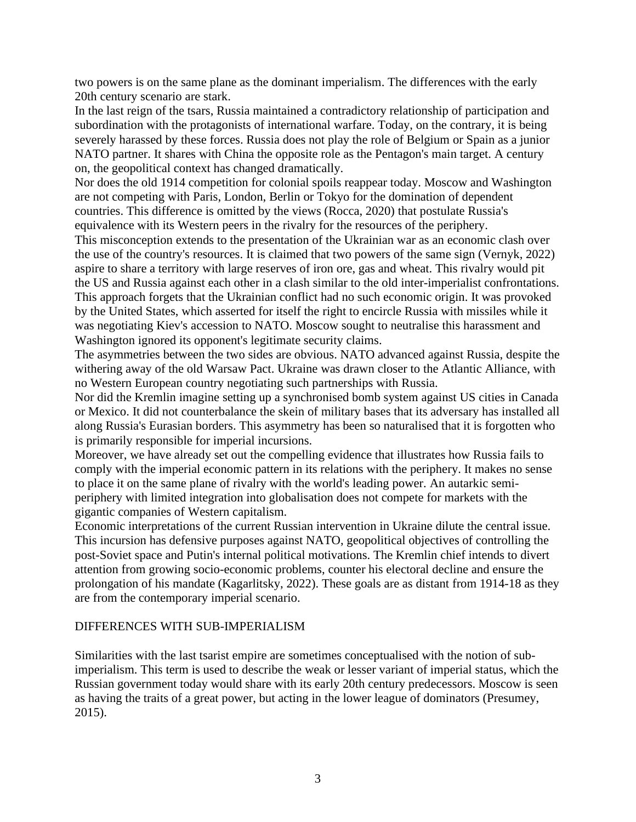two powers is on the same plane as the dominant imperialism. The differences with the early 20th century scenario are stark.

In the last reign of the tsars, Russia maintained a contradictory relationship of participation and subordination with the protagonists of international warfare. Today, on the contrary, it is being severely harassed by these forces. Russia does not play the role of Belgium or Spain as a junior NATO partner. It shares with China the opposite role as the Pentagon's main target. A century on, the geopolitical context has changed dramatically.

Nor does the old 1914 competition for colonial spoils reappear today. Moscow and Washington are not competing with Paris, London, Berlin or Tokyo for the domination of dependent countries. This difference is omitted by the views (Rocca, 2020) that postulate Russia's equivalence with its Western peers in the rivalry for the resources of the periphery.

This misconception extends to the presentation of the Ukrainian war as an economic clash over the use of the country's resources. It is claimed that two powers of the same sign (Vernyk, 2022) aspire to share a territory with large reserves of iron ore, gas and wheat. This rivalry would pit the US and Russia against each other in a clash similar to the old inter-imperialist confrontations. This approach forgets that the Ukrainian conflict had no such economic origin. It was provoked by the United States, which asserted for itself the right to encircle Russia with missiles while it was negotiating Kiev's accession to NATO. Moscow sought to neutralise this harassment and Washington ignored its opponent's legitimate security claims.

The asymmetries between the two sides are obvious. NATO advanced against Russia, despite the withering away of the old Warsaw Pact. Ukraine was drawn closer to the Atlantic Alliance, with no Western European country negotiating such partnerships with Russia.

Nor did the Kremlin imagine setting up a synchronised bomb system against US cities in Canada or Mexico. It did not counterbalance the skein of military bases that its adversary has installed all along Russia's Eurasian borders. This asymmetry has been so naturalised that it is forgotten who is primarily responsible for imperial incursions.

Moreover, we have already set out the compelling evidence that illustrates how Russia fails to comply with the imperial economic pattern in its relations with the periphery. It makes no sense to place it on the same plane of rivalry with the world's leading power. An autarkic semiperiphery with limited integration into globalisation does not compete for markets with the gigantic companies of Western capitalism.

Economic interpretations of the current Russian intervention in Ukraine dilute the central issue. This incursion has defensive purposes against NATO, geopolitical objectives of controlling the post-Soviet space and Putin's internal political motivations. The Kremlin chief intends to divert attention from growing socio-economic problems, counter his electoral decline and ensure the prolongation of his mandate (Kagarlitsky, 2022). These goals are as distant from 1914-18 as they are from the contemporary imperial scenario.

#### DIFFERENCES WITH SUB-IMPERIALISM

Similarities with the last tsarist empire are sometimes conceptualised with the notion of subimperialism. This term is used to describe the weak or lesser variant of imperial status, which the Russian government today would share with its early 20th century predecessors. Moscow is seen as having the traits of a great power, but acting in the lower league of dominators (Presumey, 2015).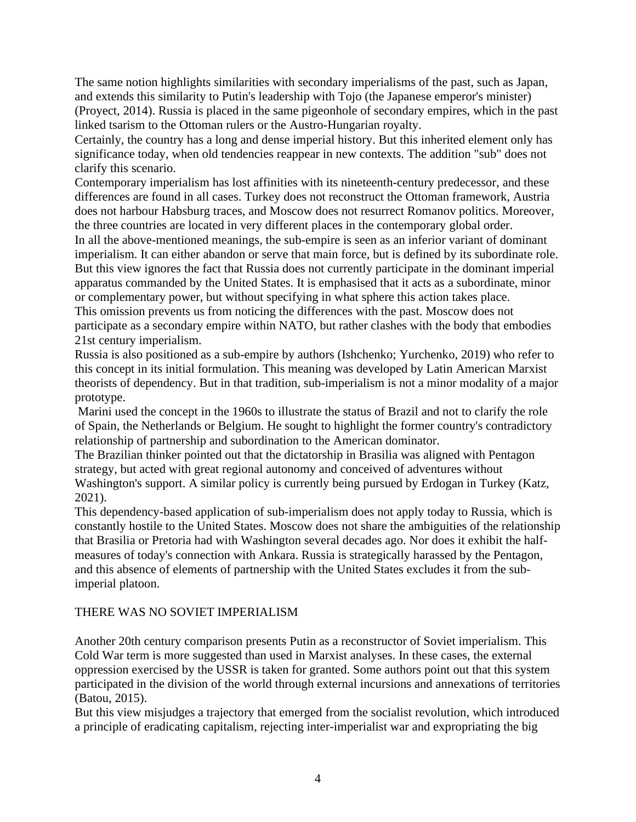The same notion highlights similarities with secondary imperialisms of the past, such as Japan, and extends this similarity to Putin's leadership with Tojo (the Japanese emperor's minister) (Proyect, 2014). Russia is placed in the same pigeonhole of secondary empires, which in the past linked tsarism to the Ottoman rulers or the Austro-Hungarian royalty.

Certainly, the country has a long and dense imperial history. But this inherited element only has significance today, when old tendencies reappear in new contexts. The addition "sub" does not clarify this scenario.

Contemporary imperialism has lost affinities with its nineteenth-century predecessor, and these differences are found in all cases. Turkey does not reconstruct the Ottoman framework, Austria does not harbour Habsburg traces, and Moscow does not resurrect Romanov politics. Moreover, the three countries are located in very different places in the contemporary global order.

In all the above-mentioned meanings, the sub-empire is seen as an inferior variant of dominant imperialism. It can either abandon or serve that main force, but is defined by its subordinate role. But this view ignores the fact that Russia does not currently participate in the dominant imperial apparatus commanded by the United States. It is emphasised that it acts as a subordinate, minor or complementary power, but without specifying in what sphere this action takes place. This omission prevents us from noticing the differences with the past. Moscow does not

participate as a secondary empire within NATO, but rather clashes with the body that embodies 21st century imperialism.

Russia is also positioned as a sub-empire by authors (Ishchenko; Yurchenko, 2019) who refer to this concept in its initial formulation. This meaning was developed by Latin American Marxist theorists of dependency. But in that tradition, sub-imperialism is not a minor modality of a major prototype.

Marini used the concept in the 1960s to illustrate the status of Brazil and not to clarify the role of Spain, the Netherlands or Belgium. He sought to highlight the former country's contradictory relationship of partnership and subordination to the American dominator.

The Brazilian thinker pointed out that the dictatorship in Brasilia was aligned with Pentagon strategy, but acted with great regional autonomy and conceived of adventures without Washington's support. A similar policy is currently being pursued by Erdogan in Turkey (Katz, 2021).

This dependency-based application of sub-imperialism does not apply today to Russia, which is constantly hostile to the United States. Moscow does not share the ambiguities of the relationship that Brasilia or Pretoria had with Washington several decades ago. Nor does it exhibit the halfmeasures of today's connection with Ankara. Russia is strategically harassed by the Pentagon, and this absence of elements of partnership with the United States excludes it from the subimperial platoon.

# THERE WAS NO SOVIET IMPERIALISM

Another 20th century comparison presents Putin as a reconstructor of Soviet imperialism. This Cold War term is more suggested than used in Marxist analyses. In these cases, the external oppression exercised by the USSR is taken for granted. Some authors point out that this system participated in the division of the world through external incursions and annexations of territories (Batou, 2015).

But this view misjudges a trajectory that emerged from the socialist revolution, which introduced a principle of eradicating capitalism, rejecting inter-imperialist war and expropriating the big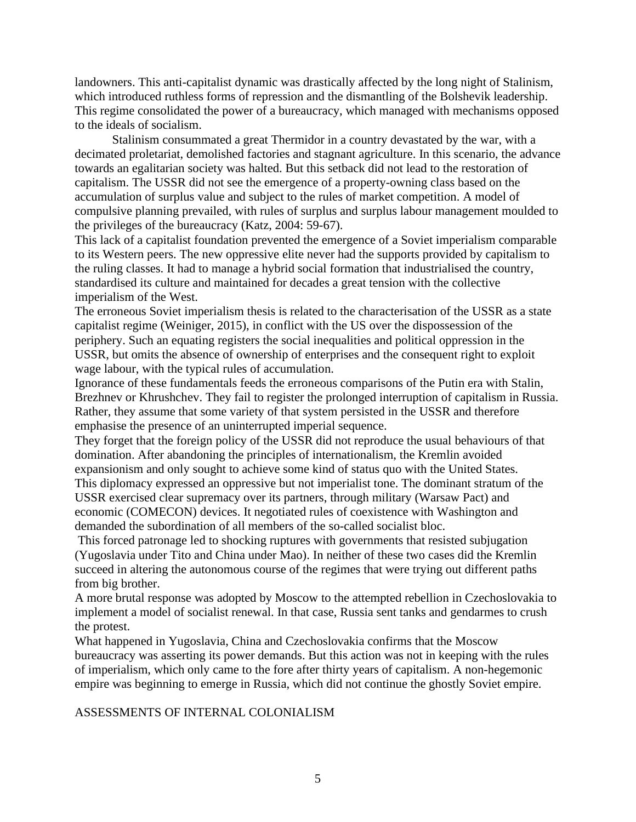landowners. This anti-capitalist dynamic was drastically affected by the long night of Stalinism, which introduced ruthless forms of repression and the dismantling of the Bolshevik leadership. This regime consolidated the power of a bureaucracy, which managed with mechanisms opposed to the ideals of socialism.

Stalinism consummated a great Thermidor in a country devastated by the war, with a decimated proletariat, demolished factories and stagnant agriculture. In this scenario, the advance towards an egalitarian society was halted. But this setback did not lead to the restoration of capitalism. The USSR did not see the emergence of a property-owning class based on the accumulation of surplus value and subject to the rules of market competition. A model of compulsive planning prevailed, with rules of surplus and surplus labour management moulded to the privileges of the bureaucracy (Katz, 2004: 59-67).

This lack of a capitalist foundation prevented the emergence of a Soviet imperialism comparable to its Western peers. The new oppressive elite never had the supports provided by capitalism to the ruling classes. It had to manage a hybrid social formation that industrialised the country, standardised its culture and maintained for decades a great tension with the collective imperialism of the West.

The erroneous Soviet imperialism thesis is related to the characterisation of the USSR as a state capitalist regime (Weiniger, 2015), in conflict with the US over the dispossession of the periphery. Such an equating registers the social inequalities and political oppression in the USSR, but omits the absence of ownership of enterprises and the consequent right to exploit wage labour, with the typical rules of accumulation.

Ignorance of these fundamentals feeds the erroneous comparisons of the Putin era with Stalin, Brezhnev or Khrushchev. They fail to register the prolonged interruption of capitalism in Russia. Rather, they assume that some variety of that system persisted in the USSR and therefore emphasise the presence of an uninterrupted imperial sequence.

They forget that the foreign policy of the USSR did not reproduce the usual behaviours of that domination. After abandoning the principles of internationalism, the Kremlin avoided expansionism and only sought to achieve some kind of status quo with the United States. This diplomacy expressed an oppressive but not imperialist tone. The dominant stratum of the USSR exercised clear supremacy over its partners, through military (Warsaw Pact) and economic (COMECON) devices. It negotiated rules of coexistence with Washington and demanded the subordination of all members of the so-called socialist bloc.

This forced patronage led to shocking ruptures with governments that resisted subjugation (Yugoslavia under Tito and China under Mao). In neither of these two cases did the Kremlin succeed in altering the autonomous course of the regimes that were trying out different paths from big brother.

A more brutal response was adopted by Moscow to the attempted rebellion in Czechoslovakia to implement a model of socialist renewal. In that case, Russia sent tanks and gendarmes to crush the protest.

What happened in Yugoslavia, China and Czechoslovakia confirms that the Moscow bureaucracy was asserting its power demands. But this action was not in keeping with the rules of imperialism, which only came to the fore after thirty years of capitalism. A non-hegemonic empire was beginning to emerge in Russia, which did not continue the ghostly Soviet empire.

## ASSESSMENTS OF INTERNAL COLONIALISM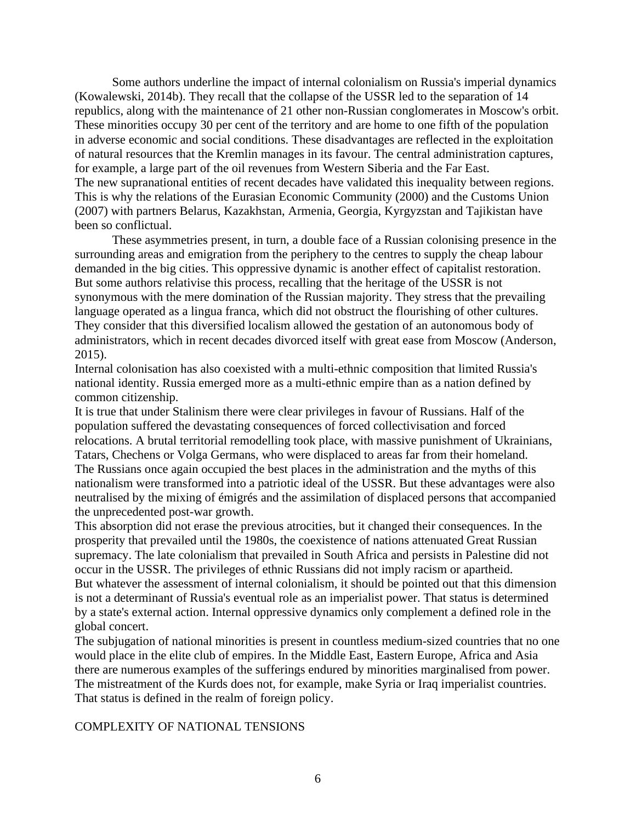Some authors underline the impact of internal colonialism on Russia's imperial dynamics (Kowalewski, 2014b). They recall that the collapse of the USSR led to the separation of 14 republics, along with the maintenance of 21 other non-Russian conglomerates in Moscow's orbit. These minorities occupy 30 per cent of the territory and are home to one fifth of the population in adverse economic and social conditions. These disadvantages are reflected in the exploitation of natural resources that the Kremlin manages in its favour. The central administration captures, for example, a large part of the oil revenues from Western Siberia and the Far East. The new supranational entities of recent decades have validated this inequality between regions. This is why the relations of the Eurasian Economic Community (2000) and the Customs Union (2007) with partners Belarus, Kazakhstan, Armenia, Georgia, Kyrgyzstan and Tajikistan have been so conflictual.

These asymmetries present, in turn, a double face of a Russian colonising presence in the surrounding areas and emigration from the periphery to the centres to supply the cheap labour demanded in the big cities. This oppressive dynamic is another effect of capitalist restoration. But some authors relativise this process, recalling that the heritage of the USSR is not synonymous with the mere domination of the Russian majority. They stress that the prevailing language operated as a lingua franca, which did not obstruct the flourishing of other cultures. They consider that this diversified localism allowed the gestation of an autonomous body of administrators, which in recent decades divorced itself with great ease from Moscow (Anderson, 2015).

Internal colonisation has also coexisted with a multi-ethnic composition that limited Russia's national identity. Russia emerged more as a multi-ethnic empire than as a nation defined by common citizenship.

It is true that under Stalinism there were clear privileges in favour of Russians. Half of the population suffered the devastating consequences of forced collectivisation and forced relocations. A brutal territorial remodelling took place, with massive punishment of Ukrainians, Tatars, Chechens or Volga Germans, who were displaced to areas far from their homeland. The Russians once again occupied the best places in the administration and the myths of this nationalism were transformed into a patriotic ideal of the USSR. But these advantages were also neutralised by the mixing of émigrés and the assimilation of displaced persons that accompanied the unprecedented post-war growth.

This absorption did not erase the previous atrocities, but it changed their consequences. In the prosperity that prevailed until the 1980s, the coexistence of nations attenuated Great Russian supremacy. The late colonialism that prevailed in South Africa and persists in Palestine did not occur in the USSR. The privileges of ethnic Russians did not imply racism or apartheid. But whatever the assessment of internal colonialism, it should be pointed out that this dimension is not a determinant of Russia's eventual role as an imperialist power. That status is determined by a state's external action. Internal oppressive dynamics only complement a defined role in the global concert.

The subjugation of national minorities is present in countless medium-sized countries that no one would place in the elite club of empires. In the Middle East, Eastern Europe, Africa and Asia there are numerous examples of the sufferings endured by minorities marginalised from power. The mistreatment of the Kurds does not, for example, make Syria or Iraq imperialist countries. That status is defined in the realm of foreign policy.

#### COMPLEXITY OF NATIONAL TENSIONS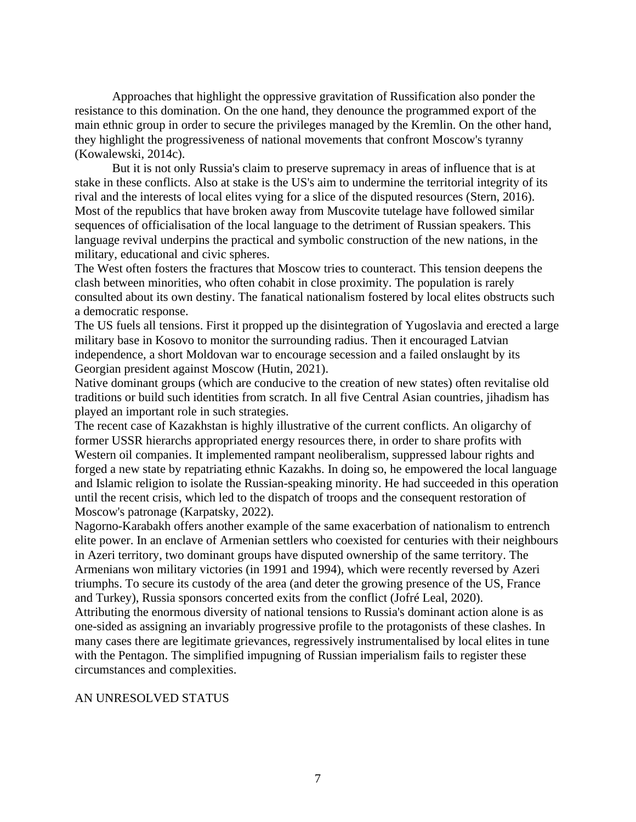Approaches that highlight the oppressive gravitation of Russification also ponder the resistance to this domination. On the one hand, they denounce the programmed export of the main ethnic group in order to secure the privileges managed by the Kremlin. On the other hand, they highlight the progressiveness of national movements that confront Moscow's tyranny (Kowalewski, 2014c).

But it is not only Russia's claim to preserve supremacy in areas of influence that is at stake in these conflicts. Also at stake is the US's aim to undermine the territorial integrity of its rival and the interests of local elites vying for a slice of the disputed resources (Stern, 2016). Most of the republics that have broken away from Muscovite tutelage have followed similar sequences of officialisation of the local language to the detriment of Russian speakers. This language revival underpins the practical and symbolic construction of the new nations, in the military, educational and civic spheres.

The West often fosters the fractures that Moscow tries to counteract. This tension deepens the clash between minorities, who often cohabit in close proximity. The population is rarely consulted about its own destiny. The fanatical nationalism fostered by local elites obstructs such a democratic response.

The US fuels all tensions. First it propped up the disintegration of Yugoslavia and erected a large military base in Kosovo to monitor the surrounding radius. Then it encouraged Latvian independence, a short Moldovan war to encourage secession and a failed onslaught by its Georgian president against Moscow (Hutin, 2021).

Native dominant groups (which are conducive to the creation of new states) often revitalise old traditions or build such identities from scratch. In all five Central Asian countries, jihadism has played an important role in such strategies.

The recent case of Kazakhstan is highly illustrative of the current conflicts. An oligarchy of former USSR hierarchs appropriated energy resources there, in order to share profits with Western oil companies. It implemented rampant neoliberalism, suppressed labour rights and forged a new state by repatriating ethnic Kazakhs. In doing so, he empowered the local language and Islamic religion to isolate the Russian-speaking minority. He had succeeded in this operation until the recent crisis, which led to the dispatch of troops and the consequent restoration of Moscow's patronage (Karpatsky, 2022).

Nagorno-Karabakh offers another example of the same exacerbation of nationalism to entrench elite power. In an enclave of Armenian settlers who coexisted for centuries with their neighbours in Azeri territory, two dominant groups have disputed ownership of the same territory. The Armenians won military victories (in 1991 and 1994), which were recently reversed by Azeri triumphs. To secure its custody of the area (and deter the growing presence of the US, France and Turkey), Russia sponsors concerted exits from the conflict (Jofré Leal, 2020).

Attributing the enormous diversity of national tensions to Russia's dominant action alone is as one-sided as assigning an invariably progressive profile to the protagonists of these clashes. In many cases there are legitimate grievances, regressively instrumentalised by local elites in tune with the Pentagon. The simplified impugning of Russian imperialism fails to register these circumstances and complexities.

#### AN UNRESOLVED STATUS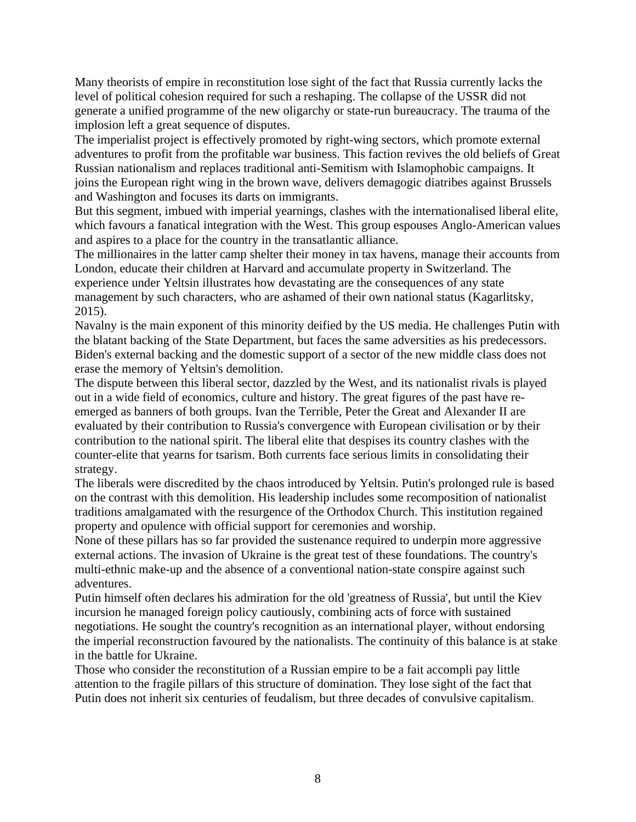Many theorists of empire in reconstitution lose sight of the fact that Russia currently lacks the level of political cohesion required for such a reshaping. The collapse of the USSR did not generate a unified programme of the new oligarchy or state-run bureaucracy. The trauma of the implosion left a great sequence of disputes.

The imperialist project is effectively promoted by right-wing sectors, which promote external adventures to profit from the profitable war business. This faction revives the old beliefs of Great Russian nationalism and replaces traditional anti-Semitism with Islamophobic campaigns. It joins the European right wing in the brown wave, delivers demagogic diatribes against Brussels and Washington and focuses its darts on immigrants.

But this segment, imbued with imperial yearnings, clashes with the internationalised liberal elite, which favours a fanatical integration with the West. This group espouses Anglo-American values and aspires to a place for the country in the transatlantic alliance.

The millionaires in the latter camp shelter their money in tax havens, manage their accounts from London, educate their children at Harvard and accumulate property in Switzerland. The experience under Yeltsin illustrates how devastating are the consequences of any state management by such characters, who are ashamed of their own national status (Kagarlitsky, 2015).

Navalny is the main exponent of this minority deified by the US media. He challenges Putin with the blatant backing of the State Department, but faces the same adversities as his predecessors. Biden's external backing and the domestic support of a sector of the new middle class does not erase the memory of Yeltsin's demolition.

The dispute between this liberal sector, dazzled by the West, and its nationalist rivals is played out in a wide field of economics, culture and history. The great figures of the past have reemerged as banners of both groups. Ivan the Terrible, Peter the Great and Alexander II are evaluated by their contribution to Russia's convergence with European civilisation or by their contribution to the national spirit. The liberal elite that despises its country clashes with the counter-elite that yearns for tsarism. Both currents face serious limits in consolidating their strategy.

The liberals were discredited by the chaos introduced by Yeltsin. Putin's prolonged rule is based on the contrast with this demolition. His leadership includes some recomposition of nationalist traditions amalgamated with the resurgence of the Orthodox Church. This institution regained property and opulence with official support for ceremonies and worship.

None of these pillars has so far provided the sustenance required to underpin more aggressive external actions. The invasion of Ukraine is the great test of these foundations. The country's multi-ethnic make-up and the absence of a conventional nation-state conspire against such adventures.

Putin himself often declares his admiration for the old 'greatness of Russia', but until the Kiev incursion he managed foreign policy cautiously, combining acts of force with sustained negotiations. He sought the country's recognition as an international player, without endorsing the imperial reconstruction favoured by the nationalists. The continuity of this balance is at stake in the battle for Ukraine.

Those who consider the reconstitution of a Russian empire to be a fait accompli pay little attention to the fragile pillars of this structure of domination. They lose sight of the fact that Putin does not inherit six centuries of feudalism, but three decades of convulsive capitalism.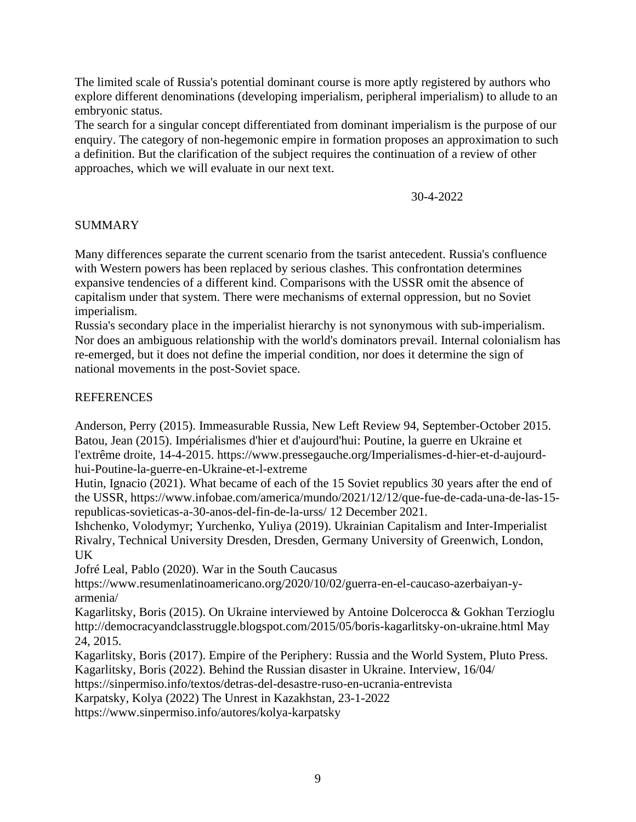The limited scale of Russia's potential dominant course is more aptly registered by authors who explore different denominations (developing imperialism, peripheral imperialism) to allude to an embryonic status.

The search for a singular concept differentiated from dominant imperialism is the purpose of our enquiry. The category of non-hegemonic empire in formation proposes an approximation to such a definition. But the clarification of the subject requires the continuation of a review of other approaches, which we will evaluate in our next text.

30-4-2022

# SUMMARY

Many differences separate the current scenario from the tsarist antecedent. Russia's confluence with Western powers has been replaced by serious clashes. This confrontation determines expansive tendencies of a different kind. Comparisons with the USSR omit the absence of capitalism under that system. There were mechanisms of external oppression, but no Soviet imperialism.

Russia's secondary place in the imperialist hierarchy is not synonymous with sub-imperialism. Nor does an ambiguous relationship with the world's dominators prevail. Internal colonialism has re-emerged, but it does not define the imperial condition, nor does it determine the sign of national movements in the post-Soviet space.

# REFERENCES

Anderson, Perry (2015). Immeasurable Russia, New Left Review 94, September-October 2015. Batou, Jean (2015). Impérialismes d'hier et d'aujourd'hui: Poutine, la guerre en Ukraine et l'extrême droite, 14-4-2015. https://www.pressegauche.org/Imperialismes-d-hier-et-d-aujourdhui-Poutine-la-guerre-en-Ukraine-et-l-extreme

Hutin, Ignacio (2021). What became of each of the 15 Soviet republics 30 years after the end of the USSR, https://www.infobae.com/america/mundo/2021/12/12/que-fue-de-cada-una-de-las-15 republicas-sovieticas-a-30-anos-del-fin-de-la-urss/ 12 December 2021.

Ishchenko, Volodymyr; Yurchenko, Yuliya (2019). Ukrainian Capitalism and Inter-Imperialist Rivalry, Technical University Dresden, Dresden, Germany University of Greenwich, London, UK

Jofré Leal, Pablo (2020). War in the South Caucasus

https://www.resumenlatinoamericano.org/2020/10/02/guerra-en-el-caucaso-azerbaiyan-yarmenia/

Kagarlitsky, Boris (2015). On Ukraine interviewed by Antoine Dolcerocca & Gokhan Terzioglu http://democracyandclasstruggle.blogspot.com/2015/05/boris-kagarlitsky-on-ukraine.html May 24, 2015.

Kagarlitsky, Boris (2017). Empire of the Periphery: Russia and the World System, Pluto Press. Kagarlitsky, Boris (2022). Behind the Russian disaster in Ukraine. Interview, 16/04/

https://sinpermiso.info/textos/detras-del-desastre-ruso-en-ucrania-entrevista

Karpatsky, Kolya (2022) The Unrest in Kazakhstan, 23-1-2022

https://www.sinpermiso.info/autores/kolya-karpatsky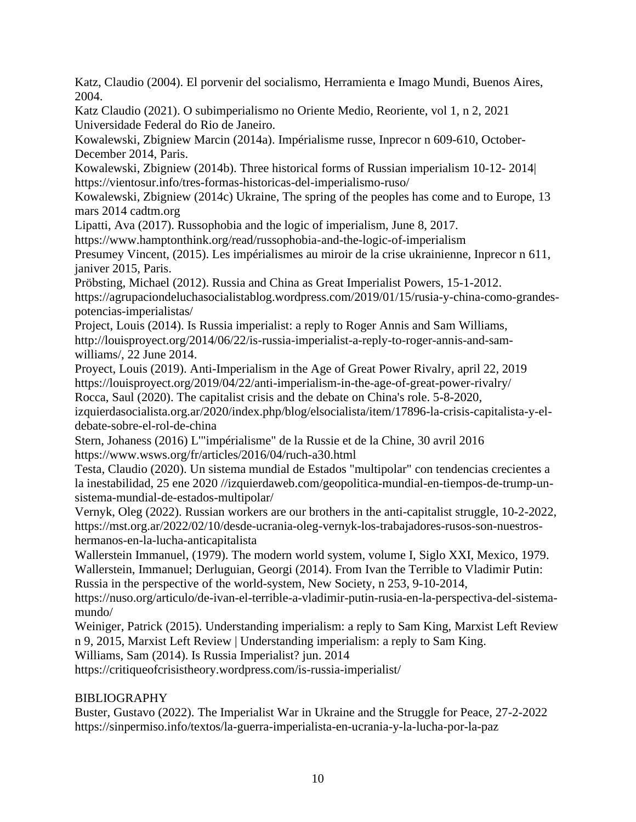Katz, Claudio (2004). El porvenir del socialismo, Herramienta e Imago Mundi, Buenos Aires, 2004.

Katz Claudio (2021). O subimperialismo no Oriente Medio, Reoriente, vol 1, n 2, 2021 Universidade Federal do Rio de Janeiro.

Kowalewski, Zbigniew Marcin (2014a). Impérialisme russe, Inprecor n 609-610, October-December 2014, Paris.

Kowalewski, Zbigniew (2014b). Three historical forms of Russian imperialism 10-12- 2014| https://vientosur.info/tres-formas-historicas-del-imperialismo-ruso/

Kowalewski, Zbigniew (2014c) Ukraine, The spring of the peoples has come and to Europe, 13 mars 2014 cadtm.org

Lipatti, Ava (2017). Russophobia and the logic of imperialism, June 8, 2017.

https://www.hamptonthink.org/read/russophobia-and-the-logic-of-imperialism

Presumey Vincent, (2015). Les impérialismes au miroir de la crise ukrainienne, Inprecor n 611, janiver 2015, Paris.

Pröbsting, Michael (2012). Russia and China as Great Imperialist Powers, 15-1-2012. https://agrupaciondeluchasocialistablog.wordpress.com/2019/01/15/rusia-y-china-como-grandespotencias-imperialistas/

Project, Louis (2014). Is Russia imperialist: a reply to Roger Annis and Sam Williams, http://louisproyect.org/2014/06/22/is-russia-imperialist-a-reply-to-roger-annis-and-samwilliams/, 22 June 2014.

Proyect, Louis (2019). Anti-Imperialism in the Age of Great Power Rivalry, april 22, 2019 https://louisproyect.org/2019/04/22/anti-imperialism-in-the-age-of-great-power-rivalry/

Rocca, Saul (2020). The capitalist crisis and the debate on China's role. 5-8-2020,

izquierdasocialista.org.ar/2020/index.php/blog/elsocialista/item/17896-la-crisis-capitalista-y-eldebate-sobre-el-rol-de-china

Stern, Johaness (2016) L'"impérialisme" de la Russie et de la Chine, 30 avril 2016 https://www.wsws.org/fr/articles/2016/04/ruch-a30.html

Testa, Claudio (2020). Un sistema mundial de Estados "multipolar" con tendencias crecientes a la inestabilidad, 25 ene 2020 //izquierdaweb.com/geopolitica-mundial-en-tiempos-de-trump-unsistema-mundial-de-estados-multipolar/

Vernyk, Oleg (2022). Russian workers are our brothers in the anti-capitalist struggle, 10-2-2022, https://mst.org.ar/2022/02/10/desde-ucrania-oleg-vernyk-los-trabajadores-rusos-son-nuestroshermanos-en-la-lucha-anticapitalista

Wallerstein Immanuel, (1979). The modern world system, volume I, Siglo XXI, Mexico, 1979. Wallerstein, Immanuel; Derluguian, Georgi (2014). From Ivan the Terrible to Vladimir Putin: Russia in the perspective of the world-system, New Society, n 253, 9-10-2014,

https://nuso.org/articulo/de-ivan-el-terrible-a-vladimir-putin-rusia-en-la-perspectiva-del-sistemamundo/

Weiniger, Patrick (2015). Understanding imperialism: a reply to Sam King, Marxist Left Review n 9, 2015, Marxist Left Review | Understanding imperialism: a reply to Sam King.

Williams, Sam (2014). Is Russia Imperialist? jun. 2014

https://critiqueofcrisistheory.wordpress.com/is-russia-imperialist/

# BIBLIOGRAPHY

Buster, Gustavo (2022). The Imperialist War in Ukraine and the Struggle for Peace, 27-2-2022 https://sinpermiso.info/textos/la-guerra-imperialista-en-ucrania-y-la-lucha-por-la-paz